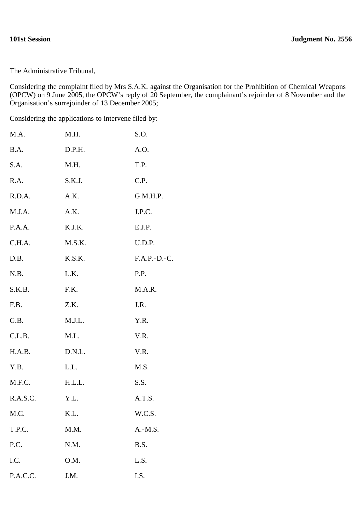## **101st Session Judgment No. 2556**

The Administrative Tribunal,

Considering the complaint filed by Mrs S.A.K. against the Organisation for the Prohibition of Chemical Weapons (OPCW) on 9 June 2005, the OPCW's reply of 20 September, the complainant's rejoinder of 8 November and the Organisation's surrejoinder of 13 December 2005;

Considering the applications to intervene filed by:

| M.A.     | M.H.   | S.O.           |
|----------|--------|----------------|
| B.A.     | D.P.H. | A.O.           |
| S.A.     | M.H.   | T.P.           |
| R.A.     | S.K.J. | C.P.           |
| R.D.A.   | A.K.   | G.M.H.P.       |
| M.J.A.   | A.K.   | J.P.C.         |
| P.A.A.   | K.J.K. | E.J.P.         |
| C.H.A.   | M.S.K. | U.D.P.         |
| D.B.     | K.S.K. | $F.A.P.-D.-C.$ |
| N.B.     | L.K.   | P.P.           |
| S.K.B.   | F.K.   | M.A.R.         |
| F.B.     | Z.K.   | J.R.           |
| G.B.     | M.J.L. | Y.R.           |
| C.L.B.   | M.L.   | V.R.           |
| H.A.B.   | D.N.L. | V.R.           |
| Y.B.     | L.L.   | M.S.           |
| M.F.C.   | H.L.L. | S.S.           |
| R.A.S.C. | Y.L.   | A.T.S.         |
| M.C.     | K.L.   | W.C.S.         |
| T.P.C.   | M.M.   | $A.-M.S.$      |
| P.C.     | N.M.   | B.S.           |
| I.C.     | O.M.   | L.S.           |
| P.A.C.C. | J.M.   | I.S.           |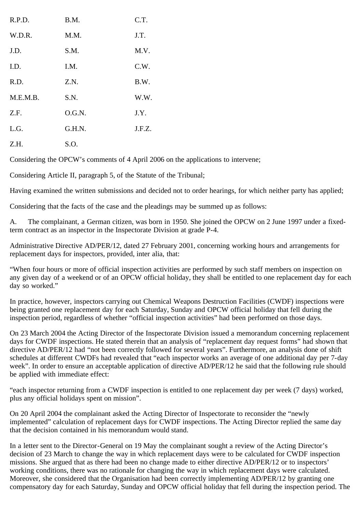| R.P.D.   | B.M.   | C.T.   |
|----------|--------|--------|
| W.D.R.   | M.M.   | J.T.   |
| J.D.     | S.M.   | M.V.   |
| I.D.     | I.M.   | C.W.   |
| R.D.     | Z.N.   | B.W.   |
| M.E.M.B. | S.N.   | W.W.   |
| Z.F.     | O.G.N. | J.Y.   |
| L.G.     | G.H.N. | J.F.Z. |
| Z.H.     | S.O.   |        |

Considering the OPCW's comments of 4 April 2006 on the applications to intervene;

Considering Article II, paragraph 5, of the Statute of the Tribunal;

Having examined the written submissions and decided not to order hearings, for which neither party has applied;

Considering that the facts of the case and the pleadings may be summed up as follows:

A. The complainant, a German citizen, was born in 1950. She joined the OPCW on 2 June 1997 under a fixedterm contract as an inspector in the Inspectorate Division at grade P-4.

Administrative Directive AD/PER/12, dated 27 February 2001, concerning working hours and arrangements for replacement days for inspectors, provided, inter alia, that:

"When four hours or more of official inspection activities are performed by such staff members on inspection on any given day of a weekend or of an OPCW official holiday, they shall be entitled to one replacement day for each day so worked."

In practice, however, inspectors carrying out Chemical Weapons Destruction Facilities (CWDF) inspections were being granted one replacement day for each Saturday, Sunday and OPCW official holiday that fell during the inspection period, regardless of whether "official inspection activities" had been performed on those days.

On 23 March 2004 the Acting Director of the Inspectorate Division issued a memorandum concerning replacement days for CWDF inspections. He stated therein that an analysis of "replacement day request forms" had shown that directive AD/PER/12 had "not been correctly followed for several years". Furthermore, an analysis done of shift schedules at different CWDFs had revealed that "each inspector works an average of one additional day per 7-day week". In order to ensure an acceptable application of directive AD/PER/12 he said that the following rule should be applied with immediate effect:

"each inspector returning from a CWDF inspection is entitled to one replacement day per week (7 days) worked, plus any official holidays spent on mission".

On 20 April 2004 the complainant asked the Acting Director of Inspectorate to reconsider the "newly implemented" calculation of replacement days for CWDF inspections. The Acting Director replied the same day that the decision contained in his memorandum would stand.

In a letter sent to the Director-General on 19 May the complainant sought a review of the Acting Director's decision of 23 March to change the way in which replacement days were to be calculated for CWDF inspection missions. She argued that as there had been no change made to either directive AD/PER/12 or to inspectors' working conditions, there was no rationale for changing the way in which replacement days were calculated. Moreover, she considered that the Organisation had been correctly implementing AD/PER/12 by granting one compensatory day for each Saturday, Sunday and OPCW official holiday that fell during the inspection period. The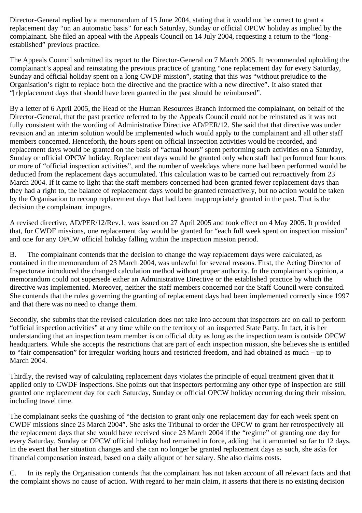Director-General replied by a memorandum of 15 June 2004, stating that it would not be correct to grant a replacement day "on an automatic basis" for each Saturday, Sunday or official OPCW holiday as implied by the complainant. She filed an appeal with the Appeals Council on 14 July 2004, requesting a return to the "longestablished" previous practice.

The Appeals Council submitted its report to the Director-General on 7 March 2005. It recommended upholding the complainant's appeal and reinstating the previous practice of granting "one replacement day for every Saturday, Sunday and official holiday spent on a long CWDF mission", stating that this was "without prejudice to the Organisation's right to replace both the directive and the practice with a new directive". It also stated that "[r]eplacement days that should have been granted in the past should be reimbursed".

By a letter of 6 April 2005, the Head of the Human Resources Branch informed the complainant, on behalf of the Director-General, that the past practice referred to by the Appeals Council could not be reinstated as it was not fully consistent with the wording of Administrative Directive AD/PER/12. She said that that directive was under revision and an interim solution would be implemented which would apply to the complainant and all other staff members concerned. Henceforth, the hours spent on official inspection activities would be recorded, and replacement days would be granted on the basis of "actual hours" spent performing such activities on a Saturday, Sunday or official OPCW holiday. Replacement days would be granted only when staff had performed four hours or more of "official inspection activities", and the number of weekdays where none had been performed would be deducted from the replacement days accumulated. This calculation was to be carried out retroactively from 23 March 2004. If it came to light that the staff members concerned had been granted fewer replacement days than they had a right to, the balance of replacement days would be granted retroactively, but no action would be taken by the Organisation to recoup replacement days that had been inappropriately granted in the past. That is the decision the complainant impugns.

A revised directive, AD/PER/12/Rev.1, was issued on 27 April 2005 and took effect on 4 May 2005. It provided that, for CWDF missions, one replacement day would be granted for "each full week spent on inspection mission" and one for any OPCW official holiday falling within the inspection mission period.

B. The complainant contends that the decision to change the way replacement days were calculated, as contained in the memorandum of 23 March 2004, was unlawful for several reasons. First, the Acting Director of Inspectorate introduced the changed calculation method without proper authority. In the complainant's opinion, a memorandum could not supersede either an Administrative Directive or the established practice by which the directive was implemented. Moreover, neither the staff members concerned nor the Staff Council were consulted. She contends that the rules governing the granting of replacement days had been implemented correctly since 1997 and that there was no need to change them.

Secondly, she submits that the revised calculation does not take into account that inspectors are on call to perform "official inspection activities" at any time while on the territory of an inspected State Party. In fact, it is her understanding that an inspection team member is on official duty as long as the inspection team is outside OPCW headquarters. While she accepts the restrictions that are part of each inspection mission, she believes she is entitled to "fair compensation" for irregular working hours and restricted freedom, and had obtained as much – up to March 2004.

Thirdly, the revised way of calculating replacement days violates the principle of equal treatment given that it applied only to CWDF inspections. She points out that inspectors performing any other type of inspection are still granted one replacement day for each Saturday, Sunday or official OPCW holiday occurring during their mission, including travel time.

The complainant seeks the quashing of "the decision to grant only one replacement day for each week spent on CWDF missions since 23 March 2004". She asks the Tribunal to order the OPCW to grant her retrospectively all the replacement days that she would have received since 23 March 2004 if the "regime" of granting one day for every Saturday, Sunday or OPCW official holiday had remained in force, adding that it amounted so far to 12 days. In the event that her situation changes and she can no longer be granted replacement days as such, she asks for financial compensation instead, based on a daily aliquot of her salary. She also claims costs.

C. In its reply the Organisation contends that the complainant has not taken account of all relevant facts and that the complaint shows no cause of action. With regard to her main claim, it asserts that there is no existing decision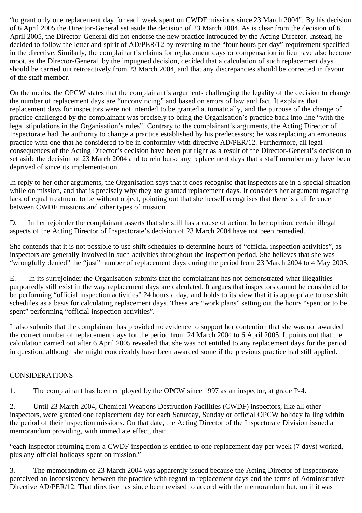"to grant only one replacement day for each week spent on CWDF missions since 23 March 2004". By his decision of 6 April 2005 the Director-General set aside the decision of 23 March 2004. As is clear from the decision of 6 April 2005, the Director-General did not endorse the new practice introduced by the Acting Director. Instead, he decided to follow the letter and spirit of AD/PER/12 by reverting to the "four hours per day" requirement specified in the directive. Similarly, the complainant's claims for replacement days or compensation in lieu have also become moot, as the Director-General, by the impugned decision, decided that a calculation of such replacement days should be carried out retroactively from 23 March 2004, and that any discrepancies should be corrected in favour of the staff member.

On the merits, the OPCW states that the complainant's arguments challenging the legality of the decision to change the number of replacement days are "unconvincing" and based on errors of law and fact. It explains that replacement days for inspectors were not intended to be granted automatically, and the purpose of the change of practice challenged by the complainant was precisely to bring the Organisation's practice back into line "with the legal stipulations in the Organisation's rules". Contrary to the complainant's arguments, the Acting Director of Inspectorate had the authority to change a practice established by his predecessors; he was replacing an erroneous practice with one that he considered to be in conformity with directive AD/PER/12. Furthermore, all legal consequences of the Acting Director's decision have been put right as a result of the Director-General's decision to set aside the decision of 23 March 2004 and to reimburse any replacement days that a staff member may have been deprived of since its implementation.

In reply to her other arguments, the Organisation says that it does recognise that inspectors are in a special situation while on mission, and that is precisely why they are granted replacement days. It considers her argument regarding lack of equal treatment to be without object, pointing out that she herself recognises that there is a difference between CWDF missions and other types of mission.

D. In her rejoinder the complainant asserts that she still has a cause of action. In her opinion, certain illegal aspects of the Acting Director of Inspectorate's decision of 23 March 2004 have not been remedied.

She contends that it is not possible to use shift schedules to determine hours of "official inspection activities", as inspectors are generally involved in such activities throughout the inspection period. She believes that she was "wrongfully denied" the "just" number of replacement days during the period from 23 March 2004 to 4 May 2005.

E. In its surrejoinder the Organisation submits that the complainant has not demonstrated what illegalities purportedly still exist in the way replacement days are calculated. It argues that inspectors cannot be considered to be performing "official inspection activities" 24 hours a day, and holds to its view that it is appropriate to use shift schedules as a basis for calculating replacement days. These are "work plans" setting out the hours "spent or to be spent" performing "official inspection activities".

It also submits that the complainant has provided no evidence to support her contention that she was not awarded the correct number of replacement days for the period from 24 March 2004 to 6 April 2005. It points out that the calculation carried out after 6 April 2005 revealed that she was not entitled to any replacement days for the period in question, although she might conceivably have been awarded some if the previous practice had still applied.

## CONSIDERATIONS

1. The complainant has been employed by the OPCW since 1997 as an inspector, at grade P-4.

2. Until 23 March 2004, Chemical Weapons Destruction Facilities (CWDF) inspectors, like all other inspectors, were granted one replacement day for each Saturday, Sunday or official OPCW holiday falling within the period of their inspection missions. On that date, the Acting Director of the Inspectorate Division issued a memorandum providing, with immediate effect, that:

"each inspector returning from a CWDF inspection is entitled to one replacement day per week (7 days) worked, plus any official holidays spent on mission."

3. The memorandum of 23 March 2004 was apparently issued because the Acting Director of Inspectorate perceived an inconsistency between the practice with regard to replacement days and the terms of Administrative Directive AD/PER/12. That directive has since been revised to accord with the memorandum but, until it was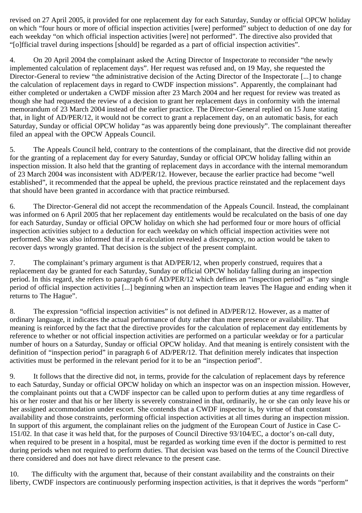revised on 27 April 2005, it provided for one replacement day for each Saturday, Sunday or official OPCW holiday on which "four hours or more of official inspection activities [were] performed" subject to deduction of one day for each weekday "on which official inspection activities [were] not performed". The directive also provided that "[o]fficial travel during inspections [should] be regarded as a part of official inspection activities".

4. On 20 April 2004 the complainant asked the Acting Director of Inspectorate to reconsider "the newly implemented calculation of replacement days". Her request was refused and, on 19 May, she requested the Director-General to review "the administrative decision of the Acting Director of the Inspectorate [...] to change the calculation of replacement days in regard to CWDF inspection missions". Apparently, the complainant had either completed or undertaken a CWDF mission after 23 March 2004 and her request for review was treated as though she had requested the review of a decision to grant her replacement days in conformity with the internal memorandum of 23 March 2004 instead of the earlier practice. The Director-General replied on 15 June stating that, in light of AD/PER/12, it would not be correct to grant a replacement day, on an automatic basis, for each Saturday, Sunday or official OPCW holiday "as was apparently being done previously". The complainant thereafter filed an appeal with the OPCW Appeals Council.

5. The Appeals Council held, contrary to the contentions of the complainant, that the directive did not provide for the granting of a replacement day for every Saturday, Sunday or official OPCW holiday falling within an inspection mission. It also held that the granting of replacement days in accordance with the internal memorandum of 23 March 2004 was inconsistent with AD/PER/12. However, because the earlier practice had become "well established", it recommended that the appeal be upheld, the previous practice reinstated and the replacement days that should have been granted in accordance with that practice reimbursed.

6. The Director-General did not accept the recommendation of the Appeals Council. Instead, the complainant was informed on 6 April 2005 that her replacement day entitlements would be recalculated on the basis of one day for each Saturday, Sunday or official OPCW holiday on which she had performed four or more hours of official inspection activities subject to a deduction for each weekday on which official inspection activities were not performed. She was also informed that if a recalculation revealed a discrepancy, no action would be taken to recover days wrongly granted. That decision is the subject of the present complaint.

7. The complainant's primary argument is that AD/PER/12, when properly construed, requires that a replacement day be granted for each Saturday, Sunday or official OPCW holiday falling during an inspection period. In this regard, she refers to paragraph 6 of AD/PER/12 which defines an "inspection period" as "any single period of official inspection activities [...] beginning when an inspection team leaves The Hague and ending when it returns to The Hague".

8. The expression "official inspection activities" is not defined in AD/PER/12. However, as a matter of ordinary language, it indicates the actual performance of duty rather than mere presence or availability. That meaning is reinforced by the fact that the directive provides for the calculation of replacement day entitlements by reference to whether or not official inspection activities are performed on a particular weekday or for a particular number of hours on a Saturday, Sunday or official OPCW holiday. And that meaning is entirely consistent with the definition of "inspection period" in paragraph 6 of AD/PER/12. That definition merely indicates that inspection activities must be performed in the relevant period for it to be an "inspection period".

9. It follows that the directive did not, in terms, provide for the calculation of replacement days by reference to each Saturday, Sunday or official OPCW holiday on which an inspector was on an inspection mission. However, the complainant points out that a CWDF inspector can be called upon to perform duties at any time regardless of his or her roster and that his or her liberty is severely constrained in that, ordinarily, he or she can only leave his or her assigned accommodation under escort. She contends that a CWDF inspector is, by virtue of that constant availability and those constraints, performing official inspection activities at all times during an inspection mission. In support of this argument, the complainant relies on the judgment of the European Court of Justice in Case C-151/02. In that case it was held that, for the purposes of Council Directive 93/104/EC, a doctor's on-call duty, when required to be present in a hospital, must be regarded as working time even if the doctor is permitted to rest during periods when not required to perform duties. That decision was based on the terms of the Council Directive there considered and does not have direct relevance to the present case.

10. The difficulty with the argument that, because of their constant availability and the constraints on their liberty, CWDF inspectors are continuously performing inspection activities, is that it deprives the words "perform"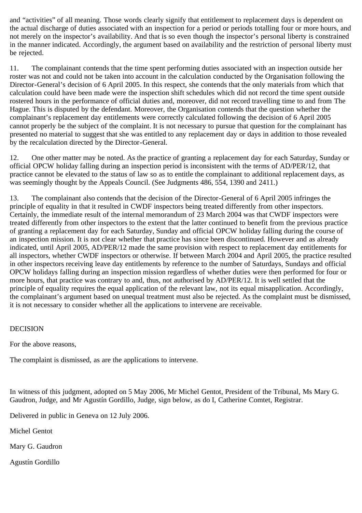and "activities" of all meaning. Those words clearly signify that entitlement to replacement days is dependent on the actual discharge of duties associated with an inspection for a period or periods totalling four or more hours, and not merely on the inspector's availability. And that is so even though the inspector's personal liberty is constrained in the manner indicated. Accordingly, the argument based on availability and the restriction of personal liberty must be rejected.

11. The complainant contends that the time spent performing duties associated with an inspection outside her roster was not and could not be taken into account in the calculation conducted by the Organisation following the Director-General's decision of 6 April 2005. In this respect, she contends that the only materials from which that calculation could have been made were the inspection shift schedules which did not record the time spent outside rostered hours in the performance of official duties and, moreover, did not record travelling time to and from The Hague. This is disputed by the defendant. Moreover, the Organisation contends that the question whether the complainant's replacement day entitlements were correctly calculated following the decision of 6 April 2005 cannot properly be the subject of the complaint. It is not necessary to pursue that question for the complainant has presented no material to suggest that she was entitled to any replacement day or days in addition to those revealed by the recalculation directed by the Director-General.

12. One other matter may be noted. As the practice of granting a replacement day for each Saturday, Sunday or official OPCW holiday falling during an inspection period is inconsistent with the terms of AD/PER/12, that practice cannot be elevated to the status of law so as to entitle the complainant to additional replacement days, as was seemingly thought by the Appeals Council. (See Judgments 486, 554, 1390 and 2411.)

13. The complainant also contends that the decision of the Director-General of 6 April 2005 infringes the principle of equality in that it resulted in CWDF inspectors being treated differently from other inspectors. Certainly, the immediate result of the internal memorandum of 23 March 2004 was that CWDF inspectors were treated differently from other inspectors to the extent that the latter continued to benefit from the previous practice of granting a replacement day for each Saturday, Sunday and official OPCW holiday falling during the course of an inspection mission. It is not clear whether that practice has since been discontinued. However and as already indicated, until April 2005, AD/PER/12 made the same provision with respect to replacement day entitlements for all inspectors, whether CWDF inspectors or otherwise. If between March 2004 and April 2005, the practice resulted in other inspectors receiving leave day entitlements by reference to the number of Saturdays, Sundays and official OPCW holidays falling during an inspection mission regardless of whether duties were then performed for four or more hours, that practice was contrary to and, thus, not authorised by AD/PER/12. It is well settled that the principle of equality requires the equal application of the relevant law, not its equal misapplication. Accordingly, the complainant's argument based on unequal treatment must also be rejected. As the complaint must be dismissed, it is not necessary to consider whether all the applications to intervene are receivable.

## DECISION

For the above reasons,

The complaint is dismissed, as are the applications to intervene.

In witness of this judgment, adopted on 5 May 2006, Mr Michel Gentot, President of the Tribunal, Ms Mary G. Gaudron, Judge, and Mr Agustín Gordillo, Judge, sign below, as do I, Catherine Comtet, Registrar.

Delivered in public in Geneva on 12 July 2006.

Michel Gentot

Mary G. Gaudron

Agustín Gordillo